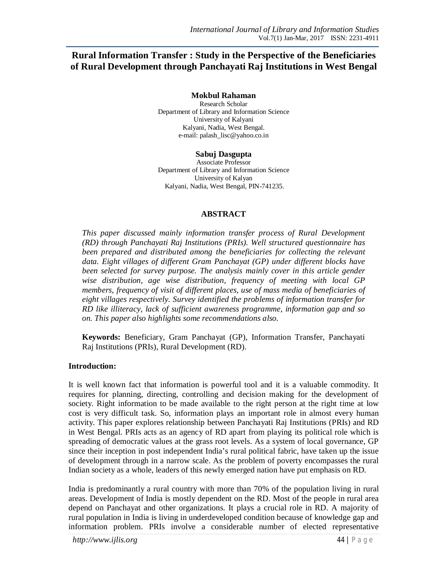# **Rural Information Transfer : Study in the Perspective of the Beneficiaries of Rural Development through Panchayati Raj Institutions in West Bengal**

**Mokbul Rahaman** Research Scholar Department of Library and Information Science University of Kalyani Kalyani, Nadia, West Bengal. e-mail: palash\_lisc@yahoo.co.in

**Sabuj Dasgupta** Associate Professor Department of Library and Information Science University of Kalyan Kalyani, Nadia, West Bengal, PIN-741235.

### **ABSTRACT**

*This paper discussed mainly information transfer process of Rural Development (RD) through Panchayati Raj Institutions (PRIs). Well structured questionnaire has been prepared and distributed among the beneficiaries for collecting the relevant data. Eight villages of different Gram Panchayat (GP) under different blocks have been selected for survey purpose. The analysis mainly cover in this article gender wise distribution, age wise distribution, frequency of meeting with local GP members, frequency of visit of different places, use of mass media of beneficiaries of eight villages respectively. Survey identified the problems of information transfer for RD like illiteracy, lack of sufficient awareness programme, information gap and so on. This paper also highlights some recommendations also.* 

**Keywords:** Beneficiary, Gram Panchayat (GP), Information Transfer, Panchayati Raj Institutions (PRIs), Rural Development (RD).

### **Introduction:**

It is well known fact that information is powerful tool and it is a valuable commodity. It requires for planning, directing, controlling and decision making for the development of society. Right information to be made available to the right person at the right time at low cost is very difficult task. So, information plays an important role in almost every human activity. This paper explores relationship between Panchayati Raj Institutions (PRIs) and RD in West Bengal. PRIs acts as an agency of RD apart from playing its political role which is spreading of democratic values at the grass root levels. As a system of local governance, GP since their inception in post independent India's rural political fabric, have taken up the issue of development through in a narrow scale. As the problem of poverty encompasses the rural Indian society as a whole, leaders of this newly emerged nation have put emphasis on RD.

India is predominantly a rural country with more than 70% of the population living in rural areas. Development of India is mostly dependent on the RD. Most of the people in rural area depend on Panchayat and other organizations. It plays a crucial role in RD. A majority of rural population in India is living in underdeveloped condition because of knowledge gap and information problem. PRIs involve a considerable number of elected representative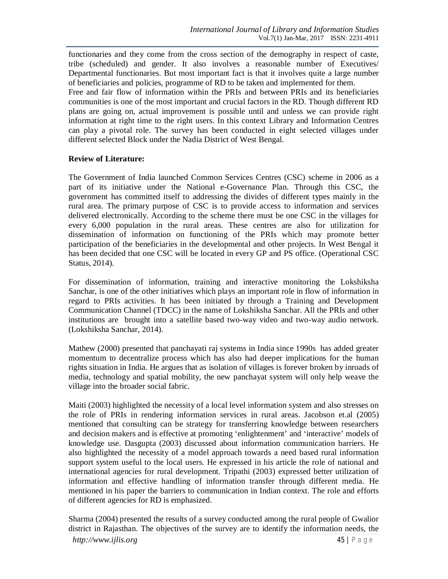functionaries and they come from the cross section of the demography in respect of caste, tribe (scheduled) and gender. It also involves a reasonable number of Executives/ Departmental functionaries. But most important fact is that it involves quite a large number of beneficiaries and policies, programme of RD to be taken and implemented for them. Free and fair flow of information within the PRIs and between PRIs and its beneficiaries communities is one of the most important and crucial factors in the RD. Though different RD plans are going on, actual improvement is possible until and unless we can provide right information at right time to the right users. In this context Library and Information Centres can play a pivotal role. The survey has been conducted in eight selected villages under different selected Block under the Nadia District of West Bengal.

## **Review of Literature:**

The Government of India launched Common Services Centres (CSC) scheme in 2006 as a part of its initiative under the National e-Governance Plan. Through this CSC, the government has committed itself to addressing the divides of different types mainly in the rural area. The primary purpose of CSC is to provide access to information and services delivered electronically. According to the scheme there must be one CSC in the villages for every 6,000 population in the rural areas. These centres are also for utilization for dissemination of information on functioning of the PRIs which may promote better participation of the beneficiaries in the developmental and other projects. In West Bengal it has been decided that one CSC will be located in every GP and PS office. (Operational CSC Status, 2014).

For dissemination of information, training and interactive monitoring the Lokshiksha Sanchar, is one of the other initiatives which plays an important role in flow of information in regard to PRIs activities. It has been initiated by through a Training and Development Communication Channel (TDCC) in the name of Lokshiksha Sanchar. All the PRIs and other institutions are brought into a satellite based two-way video and two-way audio network. (Lokshiksha Sanchar, 2014).

Mathew (2000) presented that panchayati raj systems in India since 1990s has added greater momentum to decentralize process which has also had deeper implications for the human rights situation in India. He argues that as isolation of villages is forever broken by inroads of media, technology and spatial mobility, the new panchayat system will only help weave the village into the broader social fabric.

Maiti (2003) highlighted the necessity of a local level information system and also stresses on the role of PRIs in rendering information services in rural areas. Jacobson et.al (2005) mentioned that consulting can be strategy for transferring knowledge between researchers and decision makers and is effective at promoting 'enlightenment' and 'interactive' models of knowledge use. Dasgupta (2003) discussed about information communication barriers. He also highlighted the necessity of a model approach towards a need based rural information support system useful to the local users. He expressed in his article the role of national and international agencies for rural development. Tripathi (2003) expressed better utilization of information and effective handling of information transfer through different media. He mentioned in his paper the barriers to communication in Indian context. The role and efforts of different agencies for RD is emphasized.

Sharma (2004) presented the results of a survey conducted among the rural people of Gwalior district in Rajasthan. The objectives of the survey are to identify the information needs, the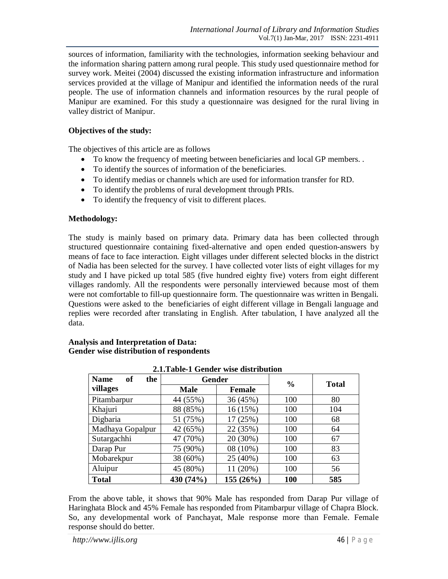sources of information, familiarity with the technologies, information seeking behaviour and the information sharing pattern among rural people. This study used questionnaire method for survey work. Meitei (2004) discussed the existing information infrastructure and information services provided at the village of Manipur and identified the information needs of the rural people. The use of information channels and information resources by the rural people of Manipur are examined. For this study a questionnaire was designed for the rural living in valley district of Manipur.

# **Objectives of the study:**

The objectives of this article are as follows

- To know the frequency of meeting between beneficiaries and local GP members. .
- To identify the sources of information of the beneficiaries.
- To identify medias or channels which are used for information transfer for RD.
- To identify the problems of rural development through PRIs.
- To identify the frequency of visit to different places.

## **Methodology:**

The study is mainly based on primary data. Primary data has been collected through structured questionnaire containing fixed-alternative and open ended question-answers by means of face to face interaction. Eight villages under different selected blocks in the district of Nadia has been selected for the survey. I have collected voter lists of eight villages for my study and I have picked up total 585 (five hundred eighty five) voters from eight different villages randomly. All the respondents were personally interviewed because most of them were not comfortable to fill-up questionnaire form. The questionnaire was written in Bengali. Questions were asked to the beneficiaries of eight different village in Bengali language and replies were recorded after translating in English. After tabulation, I have analyzed all the data.

| 2.1. Table-1 Gender wise distribution |               |          |               |              |  |  |
|---------------------------------------|---------------|----------|---------------|--------------|--|--|
| <b>Name</b><br>of<br>the              | <b>Gender</b> |          | $\frac{0}{0}$ | <b>Total</b> |  |  |
| villages                              | <b>Male</b>   | Female   |               |              |  |  |
| Pitambarpur                           | 44 (55%)      | 36 (45%) | 100           | 80           |  |  |
| Khajuri                               | 88 (85%)      | 16 (15%) | 100           | 104          |  |  |
| Digbaria                              | 51 (75%)      | 17 (25%) | 100           | 68           |  |  |
| Madhaya Gopalpur                      | 42 (65%)      | 22 (35%) | 100           | 64           |  |  |
| Sutargachhi                           | 47 (70%)      | 20 (30%) | 100           | 67           |  |  |
| Darap Pur                             | 75 (90%)      | 08 (10%) | 100           | 83           |  |  |
| Mobarekpur                            | 38 (60%)      | 25 (40%) | 100           | 63           |  |  |
| Aluipur                               | 45 (80%)      | 11 (20%) | 100           | 56           |  |  |
| <b>Total</b>                          | 430 (74%)     | 155(26%) | 100           | 585          |  |  |

**Analysis and Interpretation of Data: Gender wise distribution of respondents**

From the above table, it shows that 90% Male has responded from Darap Pur village of Haringhata Block and 45% Female has responded from Pitambarpur village of Chapra Block. So, any developmental work of Panchayat, Male response more than Female. Female response should do better.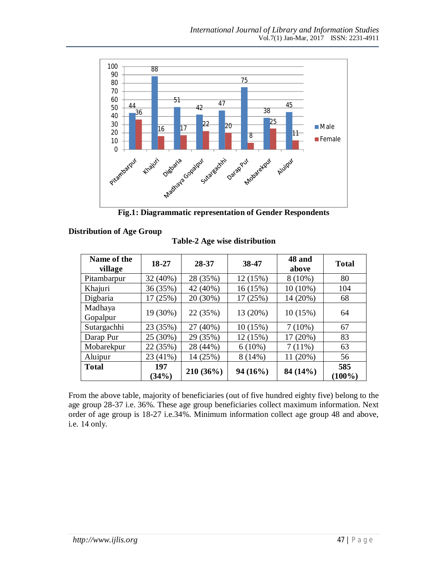

**Fig.1: Diagrammatic representation of Gender Respondents**

| Name of the<br>village | 18-27        | 28-37     | 38-47     | 48 and<br>above | <b>Total</b>     |  |
|------------------------|--------------|-----------|-----------|-----------------|------------------|--|
| Pitambarpur            | 32 (40%)     | 28 (35%)  | 12 (15%)  | $8(10\%)$       | 80               |  |
| Khajuri                | 36 (35%)     | 42 (40%)  | 16(15%)   | $10(10\%)$      | 104              |  |
| Digbaria               | 17 (25%)     | 20 (30%)  | 17 (25%)  | 14 (20%)        | 68               |  |
| Madhaya<br>Gopalpur    | 19 (30%)     | 22 (35%)  | 13 (20%)  | 10(15%)         | 64               |  |
| Sutargachhi            | 23 (35%)     | 27 (40%)  | 10(15%)   | $7(10\%)$       | 67               |  |
| Darap Pur              | 25 (30%)     | 29 (35%)  | 12 (15%)  | 17 (20%)        | 83               |  |
| Mobarekpur             | 22 (35%)     | 28 (44%)  | $6(10\%)$ | 7(11%)          | 63               |  |
| Aluipur                | 23 (41%)     | 14 (25%)  | 8(14%)    | 11 (20%)        | 56               |  |
| <b>Total</b>           | 197<br>(34%) | 210 (36%) | 94(16%)   | 84 (14%)        | 585<br>$(100\%)$ |  |

**Table-2 Age wise distribution**

From the above table, majority of beneficiaries (out of five hundred eighty five) belong to the age group 28-37 i.e. 36%. These age group beneficiaries collect maximum information. Next order of age group is 18-27 i.e.34%. Minimum information collect age group 48 and above, i.e. 14 only.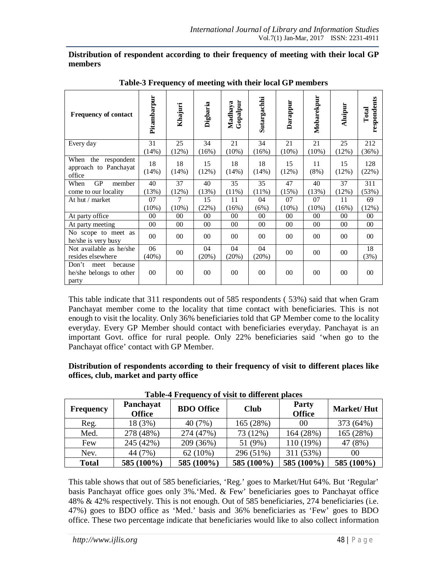### **Distribution of respondent according to their frequency of meeting with their local GP members**

| <b>Frequency of contact</b>                                  | Pitambarpur | Khajuri     | Digbaria    | Gopalpur<br>Madhaya | Sutargachhi | Darappur    | Mobarekpur | Aluipur     | respondents<br>Total |
|--------------------------------------------------------------|-------------|-------------|-------------|---------------------|-------------|-------------|------------|-------------|----------------------|
| Every day                                                    | 31          | 25          | 34          | 21                  | 34          | 21          | 21         | 25          | 212                  |
|                                                              | (14%)       | (12%)       | (16%)       | $(10\%)$            | (16%)       | $(10\%)$    | $(10\%)$   | (12%)       | (36%)                |
| When the respondent<br>approach to Panchayat<br>office       | 18<br>(14%) | 18<br>(14%) | 15<br>(12%) | 18<br>(14%)         | 18<br>(14%) | 15<br>(12%) | 11<br>(8%) | 15<br>(12%) | 128<br>(22%)         |
| GP<br>When<br>member                                         | 40          | 37          | 40          | 35                  | 35          | 47          | 40         | 37          | 311                  |
| come to our locality                                         | (13%)       | (12%)       | (13%)       | (11%)               | (11%)       | (15%)       | (13%)      | (12%)       | (53%)                |
| At hut / market                                              | 07          | 7           | 15          | 11                  | 04          | 07          | 07         | 11          | 69                   |
|                                                              | $(10\%)$    | (10%)       | (22%)       | (16%)               | (6%)        | $(10\%)$    | $(10\%)$   | (16%)       | (12%)                |
| At party office                                              | $00\,$      | $00\,$      | $00\,$      | 00                  | 00          | 00          | 00         | $00\,$      | 00                   |
| At party meeting                                             | $00\,$      | $00\,$      | $00\,$      | 00                  | 00          | 00          | 00         | $00\,$      | 00                   |
| No scope to meet as<br>he/she is very busy                   | $00\,$      | $00\,$      | $00\,$      | 00                  | 00          | 00          | $00\,$     | 00          | $00\,$               |
| Not available as he/she<br>resides elsewhere                 | 06<br>(40%) | $00\,$      | 04<br>(20%) | 04<br>(20%)         | 04<br>(20%) | $00\,$      | $00\,$     | $00\,$      | 18<br>(3%)           |
| Don't<br>because<br>meet<br>he/she belongs to other<br>party | $00\,$      | $00\,$      | $00\,$      | 00                  | 00          | 00          | $00\,$     | $00\,$      | 00                   |

**Table-3 Frequency of meeting with their local GP members**

This table indicate that 311 respondents out of 585 respondents ( 53%) said that when Gram Panchayat member come to the locality that time contact with beneficiaries. This is not enough to visit the locality. Only 36% beneficiaries told that GP Member come to the locality everyday. Every GP Member should contact with beneficiaries everyday. Panchayat is an important Govt. office for rural people. Only 22% beneficiaries said 'when go to the Panchayat office' contact with GP Member.

**Distribution of respondents according to their frequency of visit to different places like offices, club, market and party office** 

| <b>Frequency</b> | Panchayat<br><b>Office</b> | <b>BDO</b> Office | <b>Club</b> | <b>Party</b><br><b>Office</b> | <b>Market/Hut</b> |
|------------------|----------------------------|-------------------|-------------|-------------------------------|-------------------|
| Reg.             | 18 (3%)                    | 40 (7%)           | 165 (28%)   | 00                            | 373 (64%)         |
| Med.             | 278 (48%)                  | 274 (47%)         | 73 (12%)    | 164 (28%)                     | 165 (28%)         |
| Few              | 245 (42%)                  | 209 (36%)         | 51 (9%)     | 110 (19%)                     | 47 (8%)           |
| Nev.             | 44 (7%)                    | 62(10%)           | 296 (51%)   | 311 (53%)                     | 00                |
| <b>Total</b>     | 585 (100%)                 | 585 (100%)        | 585 (100%)  | 585 (100%)                    | 585 (100%)        |

**Table-4 Frequency of visit to different places**

This table shows that out of 585 beneficiaries, 'Reg.' goes to Market/Hut 64%. But 'Regular' basis Panchayat office goes only 3%.'Med. & Few' beneficiaries goes to Panchayat office 48% & 42% respectively. This is not enough. Out of 585 beneficiaries, 274 beneficiaries (i.e. 47%) goes to BDO office as 'Med.' basis and 36% beneficiaries as 'Few' goes to BDO office. These two percentage indicate that beneficiaries would like to also collect information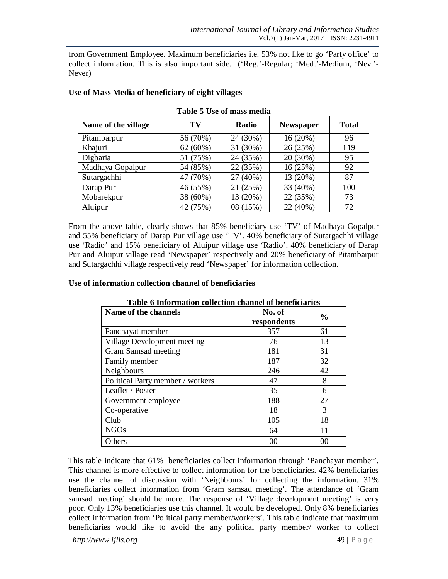from Government Employee. Maximum beneficiaries i.e. 53% not like to go 'Party office' to collect information. This is also important side. ('Reg.'-Regular; 'Med.'-Medium, 'Nev.'- Never)

| Table-5 Use of mass media |          |          |                  |              |  |  |
|---------------------------|----------|----------|------------------|--------------|--|--|
| Name of the village       | TV       | Radio    | <b>Newspaper</b> | <b>Total</b> |  |  |
| Pitambarpur               | 56 (70%) | 24 (30%) | 16 (20%)         | 96           |  |  |
| Khajuri                   | 62(60%)  | 31 (30%) | 26 (25%)         | 119          |  |  |
| Digbaria                  | 51 (75%) | 24 (35%) | 20 (30%)         | 95           |  |  |
| Madhaya Gopalpur          | 54 (85%) | 22 (35%) | 16 (25%)         | 92           |  |  |
| Sutargachhi               | 47 (70%) | 27 (40%) | 13 (20%)         | 87           |  |  |
| Darap Pur                 | 46 (55%) | 21 (25%) | 33 (40%)         | 100          |  |  |
| Mobarekpur                | 38 (60%) | 13 (20%) | 22 (35%)         | 73           |  |  |
| Aluipur                   | 42 (75%) | 08 (15%) | 22 (40%)         | 72           |  |  |

# **Use of Mass Media of beneficiary of eight villages**

From the above table, clearly shows that 85% beneficiary use 'TV' of Madhaya Gopalpur and 55% beneficiary of Darap Pur village use 'TV'. 40% beneficiary of Sutargachhi village use 'Radio' and 15% beneficiary of Aluipur village use 'Radio'. 40% beneficiary of Darap Pur and Aluipur village read 'Newspaper' respectively and 20% beneficiary of Pitambarpur and Sutargachhi village respectively read 'Newspaper' for information collection.

### **Use of information collection channel of beneficiaries**

| radic o miorimation concetton enannel or denenciaries |                       |               |  |  |  |
|-------------------------------------------------------|-----------------------|---------------|--|--|--|
| Name of the channels                                  | No. of<br>respondents | $\frac{0}{0}$ |  |  |  |
| Panchayat member                                      | 357                   | 61            |  |  |  |
| Village Development meeting                           | 76                    | 13            |  |  |  |
| Gram Samsad meeting                                   | 181                   | 31            |  |  |  |
| Family member                                         | 187                   | 32            |  |  |  |
| Neighbours                                            | 246                   | 42            |  |  |  |
| Political Party member / workers                      | 47                    | 8             |  |  |  |
| Leaflet / Poster                                      | 35                    | 6             |  |  |  |
| Government employee                                   | 188                   | 27            |  |  |  |
| Co-operative                                          | 18                    | 3             |  |  |  |
| Club                                                  | 105                   | 18            |  |  |  |
| <b>NGOs</b>                                           | 64                    | 11            |  |  |  |
| Others                                                | 00                    | 00            |  |  |  |

### **Table-6 Information collection channel of beneficiaries**

This table indicate that 61% beneficiaries collect information through 'Panchayat member'. This channel is more effective to collect information for the beneficiaries. 42% beneficiaries use the channel of discussion with 'Neighbours' for collecting the information. 31% beneficiaries collect information from 'Gram samsad meeting'. The attendance of 'Gram samsad meeting' should be more. The response of 'Village development meeting' is very poor. Only 13% beneficiaries use this channel. It would be developed. Only 8% beneficiaries collect information from 'Political party member/workers'. This table indicate that maximum beneficiaries would like to avoid the any political party member/ worker to collect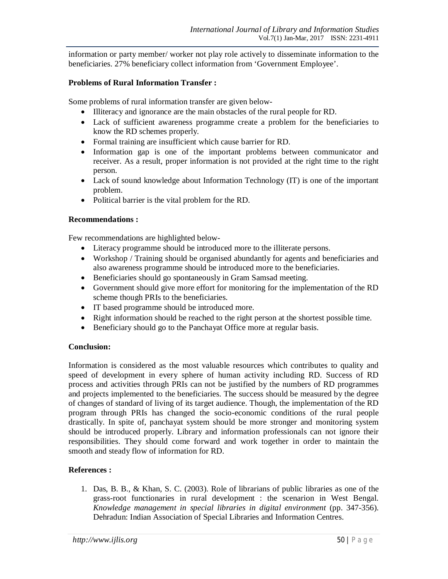information or party member/ worker not play role actively to disseminate information to the beneficiaries. 27% beneficiary collect information from 'Government Employee'.

### **Problems of Rural Information Transfer :**

Some problems of rural information transfer are given below-

- Illiteracy and ignorance are the main obstacles of the rural people for RD.
- Lack of sufficient awareness programme create a problem for the beneficiaries to know the RD schemes properly.
- Formal training are insufficient which cause barrier for RD.
- Information gap is one of the important problems between communicator and receiver. As a result, proper information is not provided at the right time to the right person.
- Lack of sound knowledge about Information Technology (IT) is one of the important problem.
- Political barrier is the vital problem for the RD.

## **Recommendations :**

Few recommendations are highlighted below-

- Literacy programme should be introduced more to the illiterate persons.
- Workshop / Training should be organised abundantly for agents and beneficiaries and also awareness programme should be introduced more to the beneficiaries.
- Beneficiaries should go spontaneously in Gram Samsad meeting.
- Government should give more effort for monitoring for the implementation of the RD scheme though PRIs to the beneficiaries.
- IT based programme should be introduced more.
- Right information should be reached to the right person at the shortest possible time.
- Beneficiary should go to the Panchayat Office more at regular basis.

### **Conclusion:**

Information is considered as the most valuable resources which contributes to quality and speed of development in every sphere of human activity including RD. Success of RD process and activities through PRIs can not be justified by the numbers of RD programmes and projects implemented to the beneficiaries. The success should be measured by the degree of changes of standard of living of its target audience. Though, the implementation of the RD program through PRIs has changed the socio-economic conditions of the rural people drastically. In spite of, panchayat system should be more stronger and monitoring system should be introduced properly. Library and information professionals can not ignore their responsibilities. They should come forward and work together in order to maintain the smooth and steady flow of information for RD.

# **References :**

1. Das, B. B., & Khan, S. C. (2003). Role of librarians of public libraries as one of the grass-root functionaries in rural development : the scenarion in West Bengal. *Knowledge management in special libraries in digital environment* (pp. 347-356). Dehradun: Indian Association of Special Libraries and Information Centres.